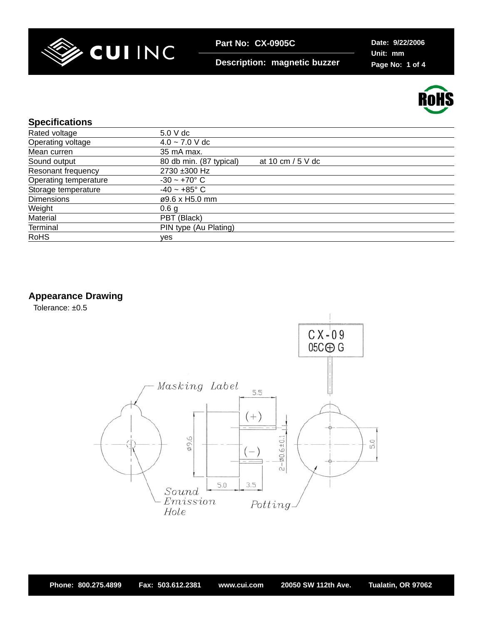

**Description: magnetic buzzer**

**Date: 9/22/2006 Unit: mm Page No: 1 of 4**



### **Specifications**

| 5.0 V dc                                       |
|------------------------------------------------|
| $4.0 - 7.0$ V dc                               |
| 35 mA max.                                     |
| 80 db min. (87 typical)<br>at 10 cm $/$ 5 V dc |
| 2730 ±300 Hz                                   |
| $-30 - +70$ °C                                 |
| $-40 - +85$ °C                                 |
| ø9.6 x H5.0 mm                                 |
| 0.6 <sub>q</sub>                               |
| PBT (Black)                                    |
| PIN type (Au Plating)                          |
| ves                                            |
|                                                |

**Appearance Drawing**

Tolerance: ±0.5

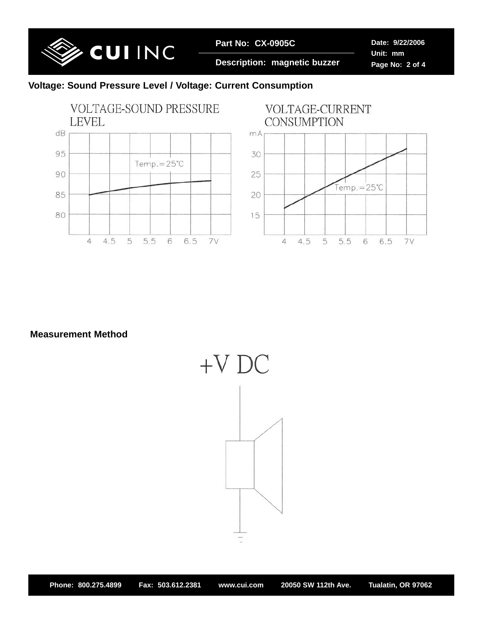

**Description: magnetic buzzer**

**Date: 9/22/2006 Unit: mm Page No: 2 of 4**

# **Voltage: Sound Pressure Level / Voltage: Current Consumption**



**Measurement Method**

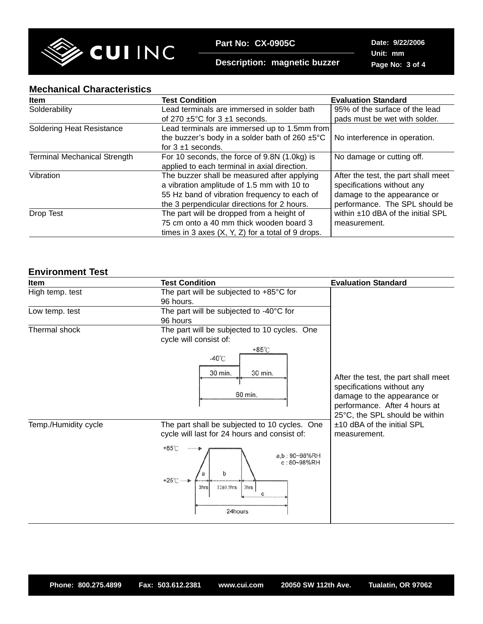

**Description: magnetic buzzer**

**Date: 9/22/2006 Unit: mm Page No: 3 of 4**

#### **Mechanical Characteristics**

| <b>Item</b>                         | <b>Test Condition</b>                                       | <b>Evaluation Standard</b>          |
|-------------------------------------|-------------------------------------------------------------|-------------------------------------|
| Solderability                       | Lead terminals are immersed in solder bath                  | 95% of the surface of the lead      |
|                                     | of 270 $\pm$ 5°C for 3 $\pm$ 1 seconds.                     | pads must be wet with solder.       |
| <b>Soldering Heat Resistance</b>    | Lead terminals are immersed up to 1.5mm from                |                                     |
|                                     | the buzzer's body in a solder bath of 260 $\pm 5^{\circ}$ C | No interference in operation.       |
|                                     | for $3 \pm 1$ seconds.                                      |                                     |
| <b>Terminal Mechanical Strength</b> | For 10 seconds, the force of 9.8N (1.0kg) is                | No damage or cutting off.           |
|                                     | applied to each terminal in axial direction.                |                                     |
| Vibration                           | The buzzer shall be measured after applying                 | After the test, the part shall meet |
|                                     | a vibration amplitude of 1.5 mm with 10 to                  | specifications without any          |
|                                     | 55 Hz band of vibration frequency to each of                | damage to the appearance or         |
|                                     | the 3 perpendicular directions for 2 hours.                 | performance. The SPL should be      |
| Drop Test                           | The part will be dropped from a height of                   | within ±10 dBA of the initial SPL   |
|                                     | 75 cm onto a 40 mm thick wooden board 3                     | measurement.                        |
|                                     | times in 3 axes $(X, Y, Z)$ for a total of 9 drops.         |                                     |

### **Environment Test**

| Item                 | <b>Test Condition</b>                                                                                                                                                                                                    | <b>Evaluation Standard</b>                                                                                                                                          |  |
|----------------------|--------------------------------------------------------------------------------------------------------------------------------------------------------------------------------------------------------------------------|---------------------------------------------------------------------------------------------------------------------------------------------------------------------|--|
| High temp. test      | The part will be subjected to $+85^{\circ}$ C for<br>96 hours.                                                                                                                                                           |                                                                                                                                                                     |  |
| Low temp. test       | The part will be subjected to -40°C for<br>96 hours                                                                                                                                                                      |                                                                                                                                                                     |  |
| Thermal shock        | The part will be subjected to 10 cycles. One<br>cycle will consist of:                                                                                                                                                   |                                                                                                                                                                     |  |
|                      | $+85^{\circ}$ C<br>$-40^{\circ}$ C<br>30 min.<br>30 min.<br>60 min.                                                                                                                                                      | After the test, the part shall meet<br>specifications without any<br>damage to the appearance or<br>performance. After 4 hours at<br>25°C, the SPL should be within |  |
| Temp./Humidity cycle | The part shall be subjected to 10 cycles. One<br>cycle will last for 24 hours and consist of:<br>$+85^{\circ}$ C<br>a,b: 90~98%RH<br>c: 80~98%RH<br>b<br>$+25^\circ$ C<br>$12\pm0.5$ hrs<br>3hrs<br>3hrs<br>C<br>24hours | ±10 dBA of the initial SPL<br>measurement.                                                                                                                          |  |